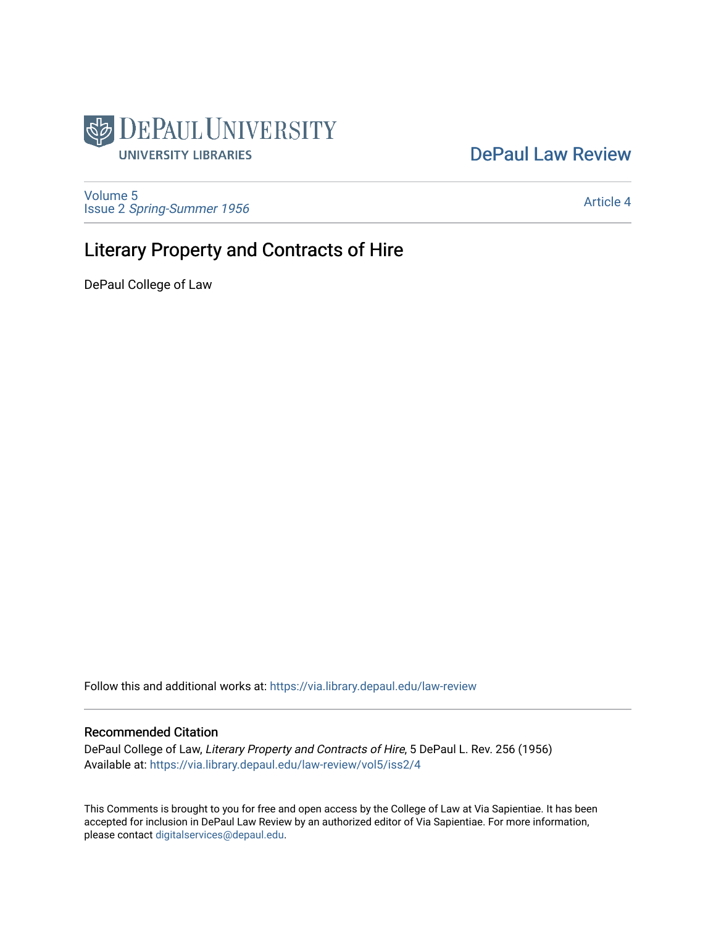

# [DePaul Law Review](https://via.library.depaul.edu/law-review)

[Volume 5](https://via.library.depaul.edu/law-review/vol5) Issue 2 [Spring-Summer 1956](https://via.library.depaul.edu/law-review/vol5/iss2) 

[Article 4](https://via.library.depaul.edu/law-review/vol5/iss2/4) 

# Literary Property and Contracts of Hire

DePaul College of Law

Follow this and additional works at: [https://via.library.depaul.edu/law-review](https://via.library.depaul.edu/law-review?utm_source=via.library.depaul.edu%2Flaw-review%2Fvol5%2Fiss2%2F4&utm_medium=PDF&utm_campaign=PDFCoverPages) 

## Recommended Citation

DePaul College of Law, Literary Property and Contracts of Hire, 5 DePaul L. Rev. 256 (1956) Available at: [https://via.library.depaul.edu/law-review/vol5/iss2/4](https://via.library.depaul.edu/law-review/vol5/iss2/4?utm_source=via.library.depaul.edu%2Flaw-review%2Fvol5%2Fiss2%2F4&utm_medium=PDF&utm_campaign=PDFCoverPages) 

This Comments is brought to you for free and open access by the College of Law at Via Sapientiae. It has been accepted for inclusion in DePaul Law Review by an authorized editor of Via Sapientiae. For more information, please contact [digitalservices@depaul.edu.](mailto:digitalservices@depaul.edu)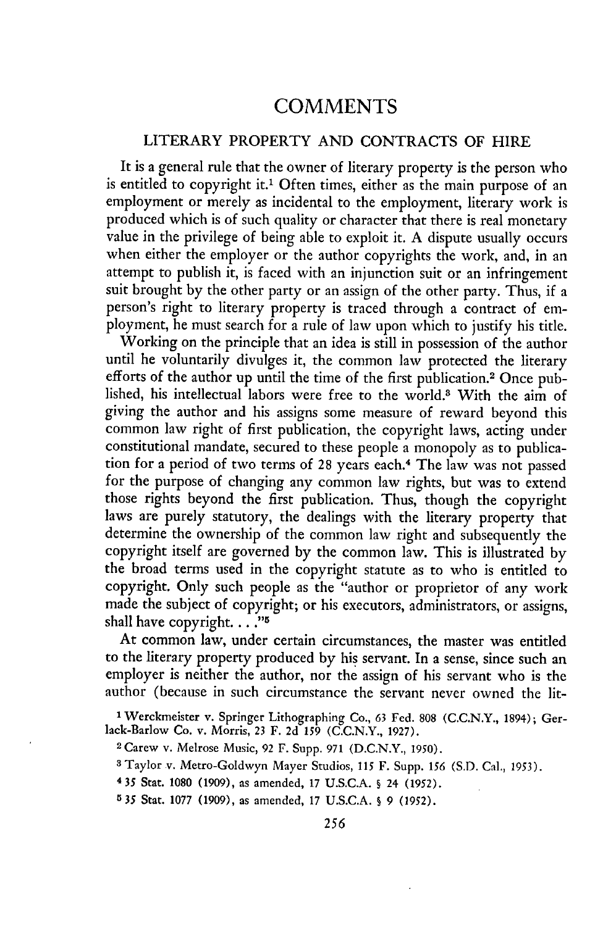# **COMMENTS**

## LITERARY PROPERTY AND CONTRACTS OF HIRE

It is a general rule that the owner of literary property is the person who is entitled to copyright it.<sup>1</sup> Often times, either as the main purpose of an employment or merely as incidental to the employment, literary work is produced which is of such quality or character that there is real monetary value in the privilege of being able to exploit it. A dispute usually occurs when either the employer or the author copyrights the work, and, in an attempt to publish it, is faced with an injunction suit or an infringement suit brought by the other party or an assign of the other party. Thus, if a person's right to literary property is traced through a contract of employment, he must search for a rule of law upon which to justify his title.

Working on the principle that an idea is still in possession of the author until he voluntarily divulges it, the common law protected the literary efforts of the author up until the time of the first publication.<sup>2</sup> Once published, his intellectual labors were free to the world.3 With the aim of giving the author and his assigns some measure of reward beyond this common law right of first publication, the copyright laws, acting under constitutional mandate, secured to these people a monopoly as to publication for a period of two terms of 28 years each.<sup>4</sup> The law was not passed for the purpose of changing any common law rights, but was to extend those rights beyond the first publication. Thus, though the copyright laws are purely statutory, the dealings with the literary property that determine the ownership of the common law right and subsequently the copyright itself are governed by the common law. This is illustrated by the broad terms used in the copyright statute as to who is entitled to copyright. Only such people as the "author or proprietor of any work made the subject of copyright; or his executors, administrators, or assigns, shall have copyright. . **.."**

At common law, under certain circumstances, the master was entitled to the literary property produced by his servant. In a sense, since such an employer is neither the author, nor the assign of his servant who is the author (because in such circumstance the servant never owned the lit-

**<sup>&#</sup>x27;** Werkmeister v. Springer Lithographing Co., 63 Fed. 808 (C.C.N.Y., 1894); Gerlack-Barlow Co. v. Morris, 23 F. 2d **159 (C.C.N.Y.,** 1927).

<sup>2</sup> Carew v. Melrose Music, 92 F. Supp. 971 (D.C.N.Y., 1950).

**<sup>3</sup>**Taylor v. Metro-Goldwyn Mayer Studios, **115** F. Supp. **156** (S.D. Cal., 1953).

<sup>4</sup>35 Stat. 1080 (1909), as amended, 17 U.S.C.A. **§** 24 **(1952).**

**<sup>535</sup>** Stat. 1077 (1909), as amended, 17 U.S.C.A. **§** 9 **(1952).**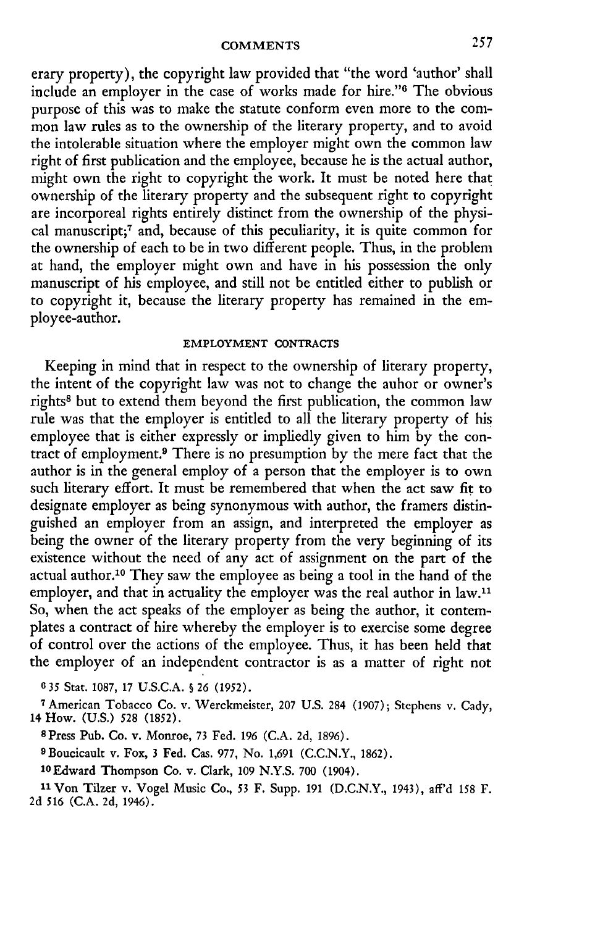erary property), the copyright law provided that "the word 'author' shall include an employer in the case of works made for hire."<sup>6</sup> The obvious purpose of this was to make the statute conform even more to the common law rules as to the ownership of the literary property, and to avoid the intolerable situation where the employer might own the common law right of first publication and the employee, because he is the actual author, might own the right to copyright the work. It must be noted here that ownership of the literary property and the subsequent right to copyright are incorporeal rights entirely distinct from the ownership of the physical manuscript;<sup>7</sup> and, because of this peculiarity, it is quite common for the ownership of each to be in two different people. Thus, in the problem at hand, the employer might own and have in his possession the only manuscript of his employee, and still not be entitled either to publish or to copyright it, because the literary property has remained in the employee-author.

### EMPLOYMENT **CONTRACTS**

Keeping in mind that in respect to the ownership of literary property, the intent of the copyright law was not to change the auhor or owner's rights8 but to extend them beyond the first publication, the common law rule was that the employer is entitled to all the literary property of his employee that is either expressly or impliedly given to him by the contract of employment.<sup>9</sup> There is no presumption by the mere fact that the author is in the general employ of a person that the employer is to own such literary effort. It must be remembered that when the act saw fit to designate employer as being synonymous with author, the framers distinguished an employer from an assign, and interpreted the employer as being the owner of the literary property from the very beginning of its existence without the need of any act of assignment on the part of the actual author.10 They saw the employee as being a tool in the hand of the employer, and that in actuality the employer was the real author in law.<sup>11</sup> So, when the act speaks of the employer as being the author, it contemplates a contract of hire whereby the employer is to exercise some degree of control over the actions of the employee. Thus, it has been held that the employer of an independent contractor is as a matter of right not

**6 35** Stat. 1087, 17 U.S.C.A. **§** 26 (1952).

**<sup>7</sup>**American Tobacco Co. v. Werckmeister, 207 U.S. 284 (1907); Stephens v. Cady, 14 How. (U.S.) 528 (1852).

<sup>8</sup> Press Pub. Co. v. Monroe, 73 Fed. 196 (C.A. **2d,** 1896).

**9** Boucicault v. Fox, 3 Fed. Cas. 977, No. 1,691 (C.C.N.Y., 1862).

1 <sup>0</sup> Edward Thompson Co. v. Clark, 109 N.Y.S. **700** (1904).

**<sup>11</sup>**Von Tilzer v. Vogel Music Co., 53 F. Supp. 191 (D.C.N.Y., 1943), aff'd 158 F. **2d** 516 (C.A. **2d,** 1946).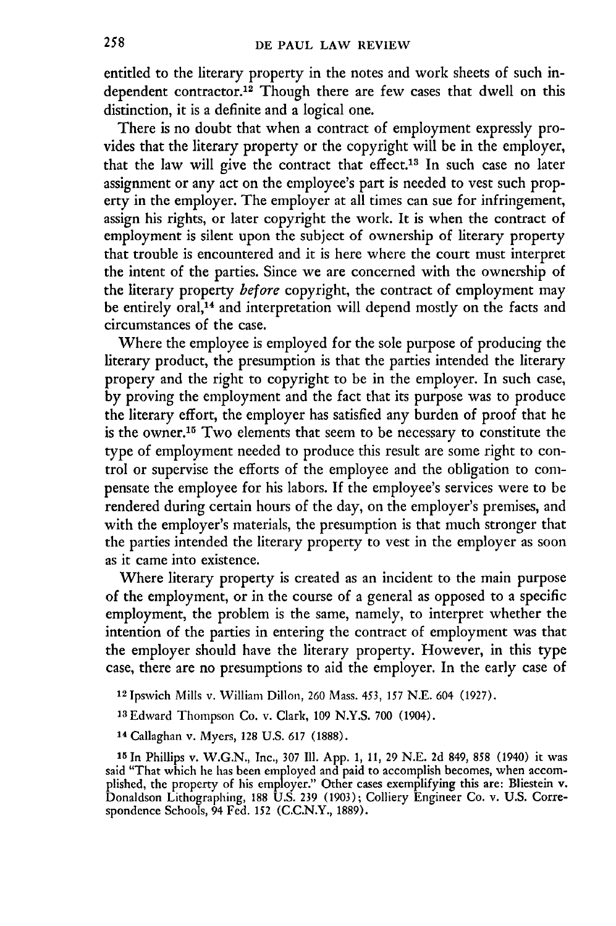entitled to the literary property in the notes and work sheets of such independent contractor.<sup>12</sup> Though there are few cases that dwell on this distinction, it is a definite and a logical one.

There is no doubt that when a contract of employment expressly provides that the literary property or the copyright will be in the employer, that the law will give the contract that effect.13 In such case no later assignment or any act on the employee's part is needed to vest such property in the employer. The employer at all times can sue for infringement, assign his rights, or later copyright the work. It is when the contract of employment is silent upon the subject of ownership of literary property that trouble is encountered and it is here where the court must interpret the intent of the parties. Since we are concerned with the ownership of the literary property *before* copyright, the contract of employment may be entirely oral,<sup>14</sup> and interpretation will depend mostly on the facts and circumstances of the case.

Where the employee is employed for the sole purpose of producing the literary product, the presumption is that the parties intended the literary propery and the right to copyright to be in the employer. In such case, **by** proving the employment and the fact that its purpose was to produce the literary effort, the employer has satisfied any burden of proof that he is the owner.'5 Two elements that seem to be necessary to constitute the type of employment needed to produce this result are some right to control or supervise the efforts of the employee and the obligation to compensate the employee for his labors. **If** the employee's services were to be rendered during certain hours of the day, on the employer's premises, and with the employer's materials, the presumption is that much stronger that the parties intended the literary property to vest in the employer as soon as it came into existence.

Where literary property is created as an incident to the main purpose of the employment, or in the course of a general as opposed to a specific employment, the problem is the same, namely, to interpret whether the intention of the parties in entering the contract of employment was that the employer should have the literary property. However, in this type case, there are no presumptions to aid the employer. In the early case of

**<sup>12</sup>**Ipswich Mills v. William Dillon, **260** Mass. 453, **157 N.E.** 604 **(1927).**

13Edward Thompson Co. v. Clark, **109 N.Y.S. 700** (1904).

14 Callaghan v. Myers, **128 U.S. 617 (1888).**

**<sup>15</sup>**In Phillips v. **W.G.N.,** Inc., **307 Ill. App. 1, 11, 29 N.E. 2d** 849, **858** (1940) it was said "That which he has been employed and paid to accomplish becomes, when accomplished, the property of his employer." Other cases exemplifying this are: Bliestein v Donaldson Lithographing, **188 U.S. 239 (1903);** Colliery Engineer Co. v. **U.S.** Correspondence Schools, 94 Fed. **152 (C.C.N.Y., 1889).**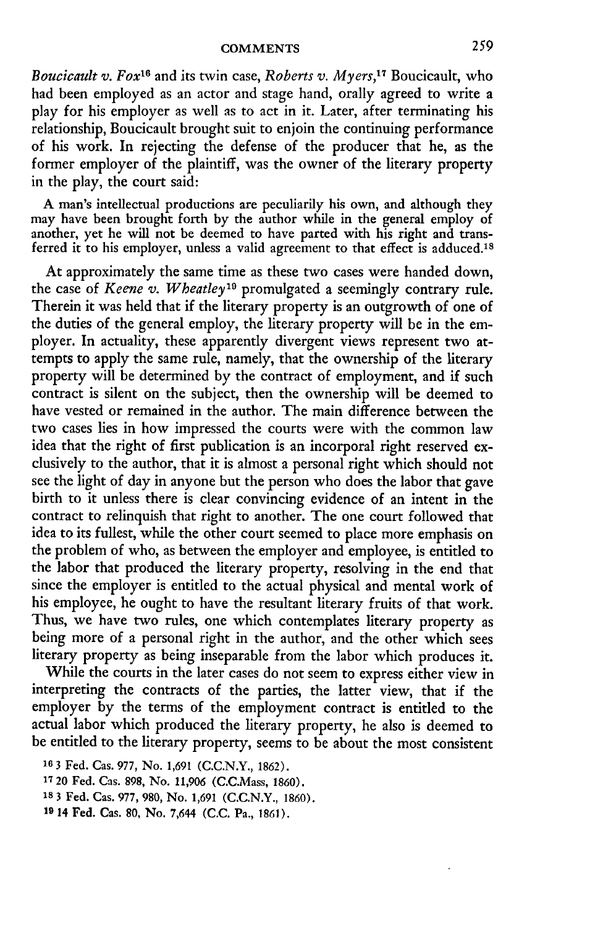*Boucicault v. Foxx6* and its twin case, *Roberts v. Myers,17* Boucicault, who had been employed as an actor and stage hand, orally agreed to write a play for his employer as well as to act in it. Later, after terminating his relationship, Boucicault brought suit to enjoin the continuing performance of his work. In rejecting the defense of the producer that he, as the former employer of the plaintiff, was the owner of the literary property in the play, the court said:

A man's intellectual productions are peculiarily his own, and although they may have been brought forth by the author while in the general employ of another, yet he will not be deemed to have parted with his right and transferred it to his employer, unless a valid agreement to that effect is adduced.18

At approximately the same time as these two cases were handed down, the case of *Keene v. Wheatley"9* promulgated a seemingly contrary rule. Therein it was held that if the literary property is an outgrowth of one of the duties of the general employ, the literary property will be in the employer. In actuality, these apparently divergent views represent two attempts to apply the same rule, namely, that the ownership of the literary property will be determined by the contract of employment, and if such contract is silent on the subject, then the ownership will be deemed to have vested or remained in the author. The main difference between the two cases lies in how impressed the courts were with the common law idea that the right of first publication is an incorporal right reserved exclusively to the author, that it is almost a personal right which should not see the light of day in anyone but the person who does the labor that gave birth to it unless there is clear convincing evidence of an intent in the contract to relinquish that right to another. The one court followed that idea to its fullest, while the other court seemed to place more emphasis on the problem of who, as between the employer and employee, is entitled to the labor that produced the literary property, resolving in the end that since the employer is entitled to the actual physical and mental work of his employee, he ought to have the resultant literary fruits of that work. Thus, we have two rules, one which contemplates literary property as being more of a personal right in the author, and the other which sees literary property as being inseparable from the labor which produces it.

While the courts in the later cases do not seem to express either view in interpreting the contracts of the parties, the latter view, that if the employer by the terms of the employment contract is entitled to the actual labor which produced the literary property, he also is deemed to be entitled to the literary property, seems to be about the most consistent

**19 14** Fed. Cas. **80,** No. 7,644 **(C.C.** Pa., **1861).**

**<sup>18 3</sup>** Fed. Cas. 977, No. 1,691 (C.C.N.Y., **1862).**

<sup>17 20</sup> Fed. Cas. 898, No. 11,906 (C.C.Mass, 1860).

**<sup>18 3</sup>** Fed. Cas. 977, 980, No. 1,691 (C.C.N.Y., 1860).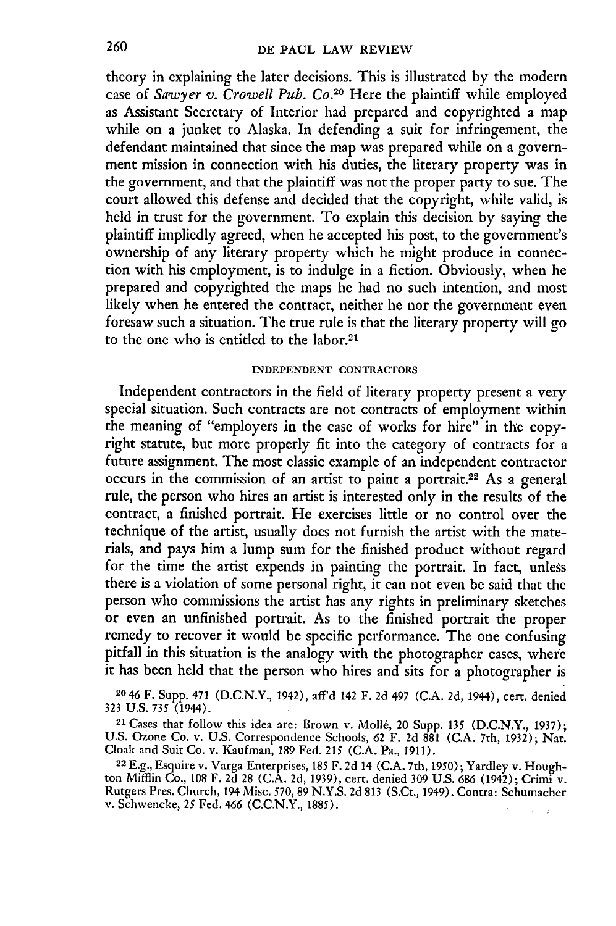theory in explaining the later decisions. This is illustrated by the modern case of *Sawyer v. Crowell Pub. Co.*<sup>20</sup> Here the plaintiff while employed as Assistant Secretary of Interior had prepared and copyrighted a map while on a junket to Alaska. In defending a suit for infringement, the defendant maintained that since the map was prepared while on a government mission in connection with his duties, the literary property was in the government, and that the plaintiff was not the proper party to sue. The court allowed this defense and decided that the copyright, while valid, is held in trust for the government. To explain this decision by saying the plaintiff impliedly agreed, when he accepted his post, to the government's ownership of any literary property which he might produce in connection with his employment, is to indulge in a fiction. Obviously, when he prepared and copyrighted the maps he had no such intention, and most likely when he entered the contract, neither he nor the government even foresaw such a situation. The true rule is that the literary property will go to the one who is entitled to the labor.<sup>21</sup>

### **INDEPENDENT CONTRACTORS**

Independent contractors in the field of literary property present a very special situation. Such contracts are not contracts of employment within the meaning of "employers in the case of works for hire" in the copyright statute, but more properly fit into the category of contracts for a future assignment. The most classic example of an independent contractor occurs in the commission of an artist to paint a portrait.22 As a general rule, the person who hires an artist is interested only in the results of the contract, a finished portrait. He exercises little or no control over the technique of the artist, usually does not furnish the artist with the materials, and pays him a lump sum for the finished product without regard for the time the artist expends in painting the portrait. In fact, unless there is a violation of some personal right, it can not even be said that the person who commissions the artist has any rights in preliminary sketches or even an unfinished portrait. As to the finished portrait the proper remedy to recover it would be specific performance. The one confusing pitfall in this situation is the analogy with the photographer cases, where it has been held that the person who hires and sits for a photographer is

2046 F. Supp. 471 (D.C.N.Y., 1942), aff'd 142 F. 2d 497 (C.A. 2d, 1944), cert. denied **323 U.S. 735** (1944).

**<sup>21</sup>**Cases that follow this idea are: Brown v. Moll6, 20 Supp. **135** (D.C.N.Y., 1937); U.S. Ozone Co. v. U.S. Correspondence Schools, 62 F. 2d 881 (C.A. 7th, 1932); Nat. Cloak and Suit Co. v. Kaufman, 189 Fed. **215** (C.A. Pa., **1911).**

22 E.g., Esquire v. Varga Enterprises, 185 F. 2d 14 (C.A. 7th, 1950); Yardley v. Houghton Mifflin Co., 108 F. 2d 28 (C.A. 2d, 1939), cert. denied 309 U.S. 686 (1942); Crimi v. Rutgers Pres. Church, 194 Misc. 570, 89 N.Y.S. 2d **813** (S.Ct., 1949). Contra: Schumacher v. Schwencke, *25* Fed. 466 (C.C.N.Y., 1885).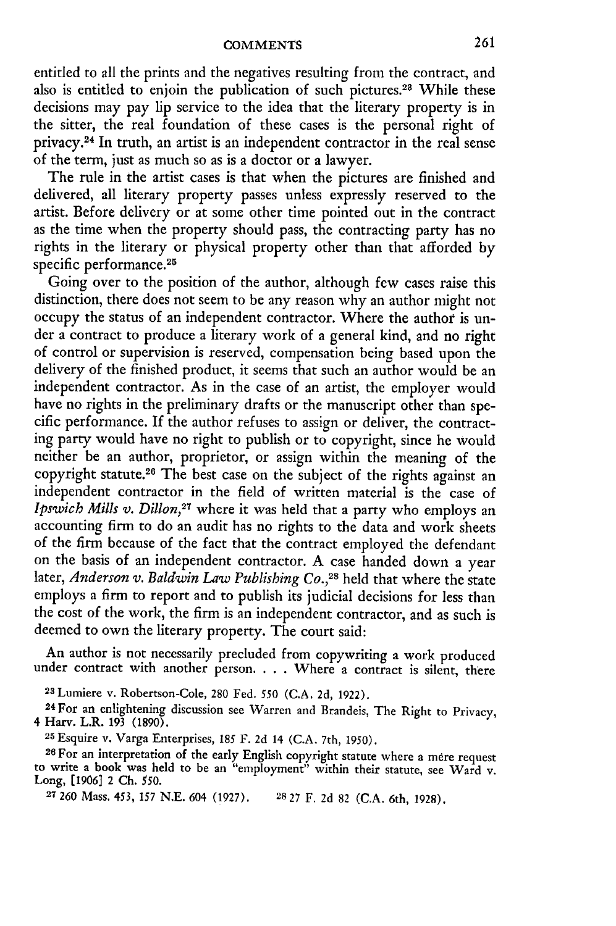entitled to all the prints and the negatives resulting from the contract, and also is entitled to enjoin the publication of such pictures.<sup>28</sup> While these decisions may pay lip service to the idea that the literary property is in the sitter, the real foundation of these cases is the personal right of privacy. 24 In truth, an artist is an independent contractor in the real sense of the term, just as much so as is a doctor or a lawyer.

The rule in the artist cases is that when the pictures are finished and delivered, all literary property passes unless expressly reserved to the artist. Before delivery or at some other time pointed out in the contract as the time when the property should pass, the contracting party has no rights in the literary or physical property other than that afforded by specific performance.<sup>25</sup>

Going over to the position of the author, although few cases raise this distinction, there does not seem to be any reason why an author might not occupy the status of an independent contractor. Where the author is under a contract to produce a literary work of a general kind, and no right of control or supervision is reserved, compensation being based upon the delivery of the finished product, it seems that such an author would be an independent contractor. As in the case of an artist, the employer would have no rights in the preliminary drafts or the manuscript other than specific performance. If the author refuses to assign or deliver, the contracting party would have no right to publish or to copyright, since he would neither be an author, proprietor, or assign within the meaning of the copyright statute.<sup>26</sup> The best case on the subject of the rights against an independent contractor in the field of written material is the case of *Ipswich Mills v. Dillon,27* where it was held that a party who employs an accounting firm to do an audit has no rights to the data and work sheets of the firm because of the fact that the contract employed the defendant on the basis of an independent contractor. A case handed down a year later, *Anderson v. Baldwin Law Publishing Co.,28* held that where the state employs a firm to report and to publish its judicial decisions for less than the cost of the work, the firm is an independent contractor, and as such is deemed to own the literary property. The court said:

An author is not necessarily precluded from copywriting a work produced under contract with another person. . . . Where a contract is silent, there

<sup>23</sup> Lumiere v. Robertson-Cole, 280 Fed. 550 (C.A. 2d, 1922).<br><sup>24</sup> For an enlightening discussion see Warren and Brandeis, The Right to Privacy, 4 Harv. L.R. 193 (1890).

**<sup>25</sup>**Esquire v. Varga Enterprises, 185 F. 2d 14 (C.A. 7th, 1950).

**<sup>26</sup>**For an interpretation of the early English copyright statute where a mere request to write a book was held to be an "employment" within their statute, see Ward v. Long, **[1906]** 2 **Ch.** *550.*

**27 260** Mass. 453, 157 N.E. 604 (1927). **28 27** F. 2d 82 **(C.A.** 6th, 1928).